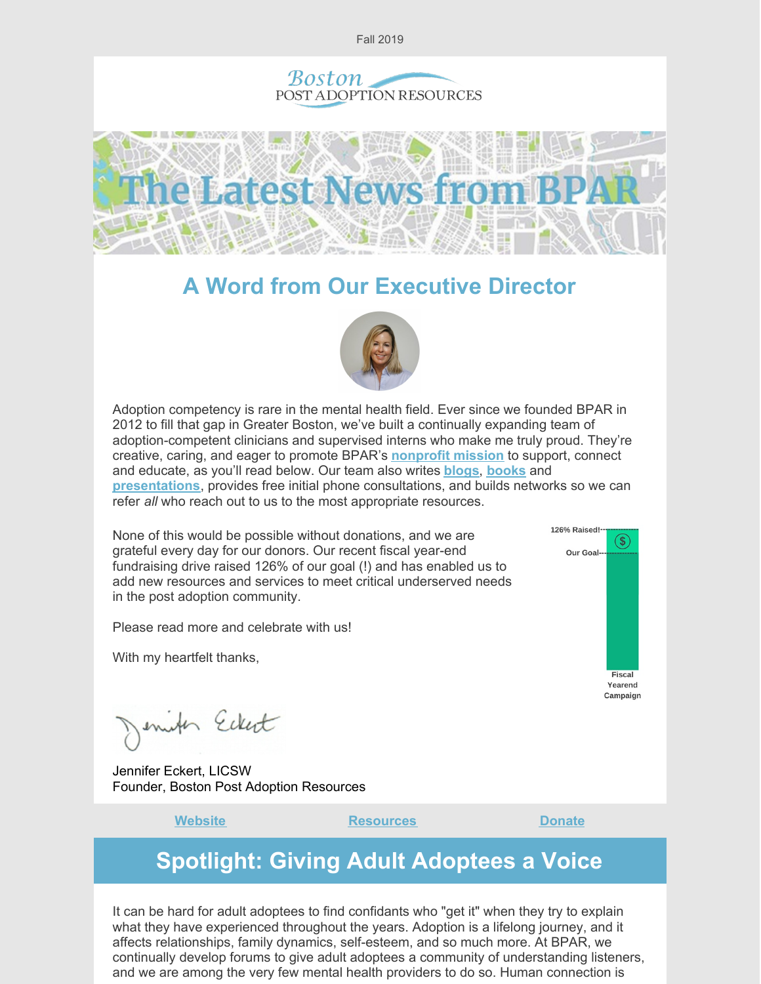Fall 2019





# **A Word from Our Executive Director**



Adoption competency is rare in the mental health field. Ever since we founded BPAR in 2012 to fill that gap in Greater Boston, we've built a continually expanding team of adoption-competent clinicians and supervised interns who make me truly proud. They're creative, caring, and eager to promote BPAR's **[nonprofit](https://bpar.org/about-boston-post-adoption-resources/) mission** to support, connect and educate, as you'll read below. Our team also writes **[blogs](https://bpar.org/blog-2/)**, **[books](https://bpar.org/adoption-is-a-lifelong-journey-book/)** and **[presentations](https://bpar.org/bpar-media/)**, provides free initial phone consultations, and builds networks so we can refer *all* who reach out to us to the most appropriate resources.

None of this would be possible without donations, and we are grateful every day for our donors. Our recent fiscal year-end fundraising drive raised 126% of our goal (!) and has enabled us to add new resources and services to meet critical underserved needs in the post adoption community.

Please read more and celebrate with us!

With my heartfelt thanks,

mit Eckert

Jennifer Eckert, LICSW Founder, Boston Post Adoption Resources

**Website Construction [Resources](https://bpar.org/post-adoption-resources-center/) Construction [Donate](https://bpar.org/our-vision/)** 

# **Spotlight: Giving Adult Adoptees a Voice**

It can be hard for adult adoptees to find confidants who "get it" when they try to explain what they have experienced throughout the years. Adoption is a lifelong journey, and it affects relationships, family dynamics, self-esteem, and so much more. At BPAR, we continually develop forums to give adult adoptees a community of understanding listeners, and we are among the very few mental health providers to do so. Human connection is

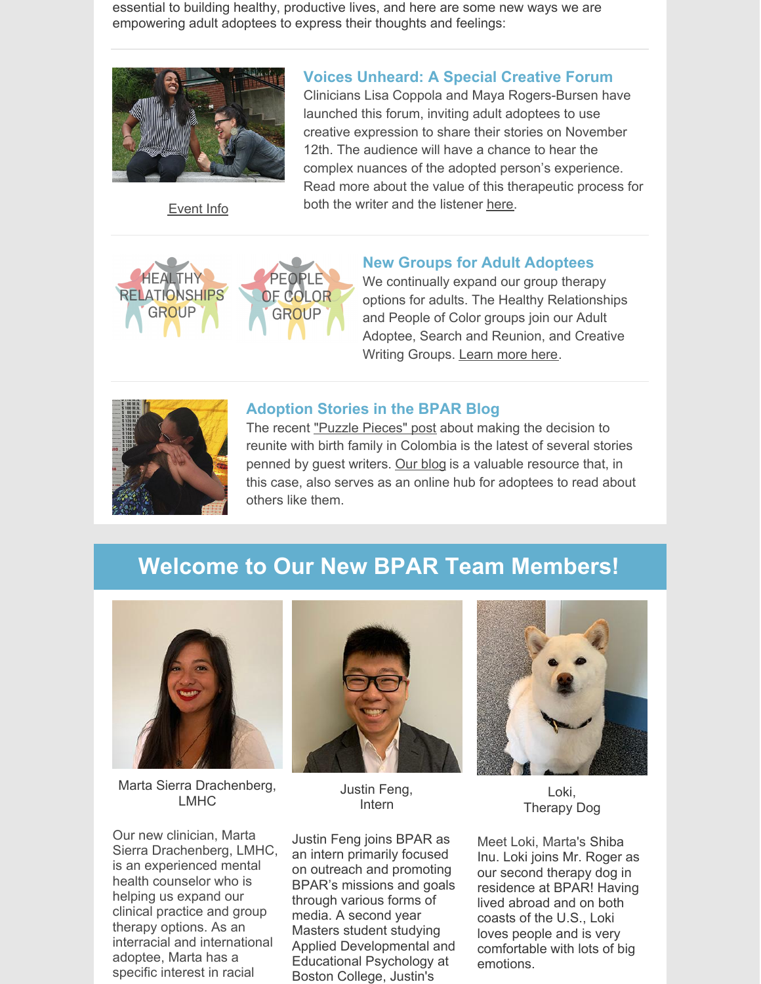essential to building healthy, productive lives, and here are some new ways we are empowering adult adoptees to express their thoughts and feelings:



### **Voices Unheard: A Special Creative Forum**

Clinicians Lisa Coppola and Maya Rogers-Bursen have launched this forum, inviting adult adoptees to use creative expression to share their stories on November 12th. The audience will have a chance to hear the complex nuances of the adopted person's experience. Read more about the value of this therapeutic process for both the writer and the listener [here](https://bpar.org/voices-unheard/the-value-of-creative-expression/).

[Event](https://bpar.org/voices-unheard/) Info



#### **New Groups for Adult Adoptees**

We continually expand our group therapy options for adults. The Healthy Relationships and People of Color groups join our Adult Adoptee, Search and Reunion, and Creative Writing Groups. [Learn](https://bpar.org/group-therapy/) more here.



### **Adoption Stories in the BPAR Blog**

The recent "Puzzle [Pieces"](https://bpar.org/puzzle-pieces-identity-and-my-birth-mother-search/) post about making the decision to reunite with birth family in Colombia is the latest of several stories penned by guest writers. Our [blog](https://bpar.org/blog-2/) is a valuable resource that, in this case, also serves as an online hub for adoptees to read about others like them.

## **Welcome to Our New BPAR Team Members!**



Marta Sierra Drachenberg, LMHC

Our new clinician, Marta Sierra Drachenberg, LMHC, is an experienced mental health counselor who is helping us expand our clinical practice and group therapy options. As an interracial and international adoptee, Marta has a specific interest in racial





Justin Feng, Intern

Justin Feng joins BPAR as an intern primarily focused on outreach and promoting BPAR's missions and goals through various forms of media. A second year Masters student studying Applied Developmental and Educational Psychology at Boston College, Justin's

Loki, Therapy Dog

Meet Loki, Marta's Shiba Inu. Loki joins Mr. Roger as our second therapy dog in residence at BPAR! Having lived abroad and on both coasts of the U.S., Loki loves people and is very comfortable with lots of big emotions.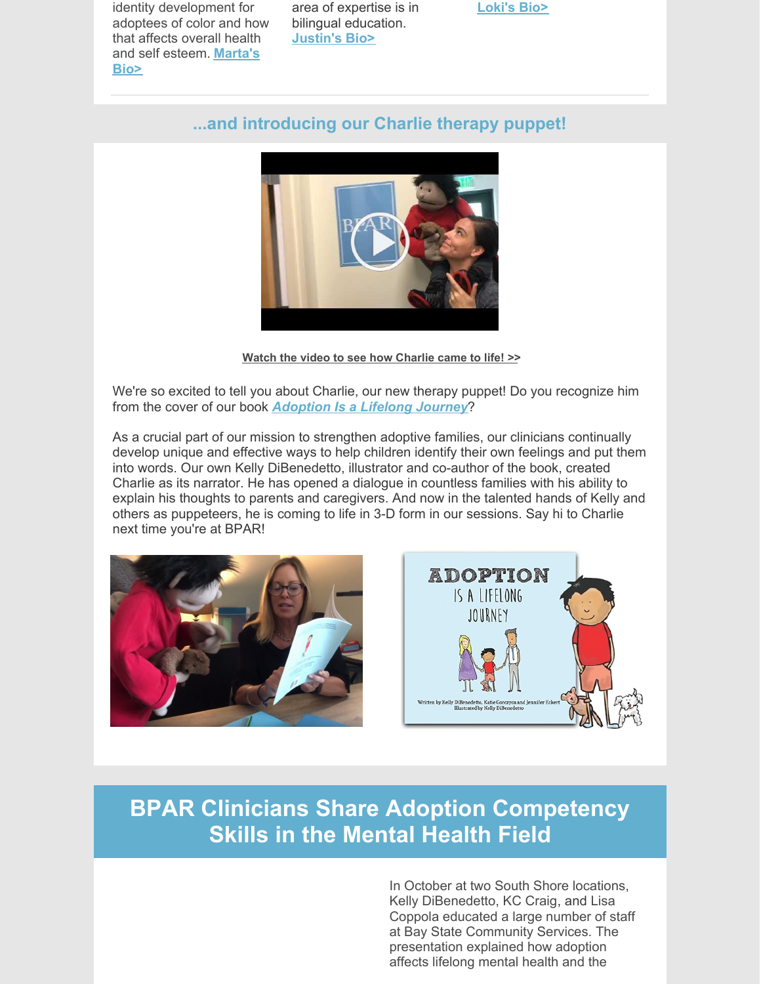identity development for adoptees of color and how that affects overall health and self [esteem.](https://bpar.org/about-boston-post-adoption-resources/bpar-team/) **Marta's Bio>**

area of expertise is in bilingual education. **[Justin's](https://bpar.org/about-boston-post-adoption-resources/bpar-team/) Bio>**

**[Loki's](https://bpar.org/about-boston-post-adoption-resources/bpar-team/) Bio>**

### **...and introducing our Charlie therapy puppet!**



**Watch the video to see how [Charlie](https://youtu.be/jZpci3L_51o) came to life! >>**

We're so excited to tell you about Charlie, our new therapy puppet! Do you recognize him from the cover of our book *[Adoption](https://bpar.org/adoption-is-a-lifelong-journey-book/) Is a Lifelong Journey*?

As a crucial part of our mission to strengthen adoptive families, our clinicians continually develop unique and effective ways to help children identify their own feelings and put them into words. Our own Kelly DiBenedetto, illustrator and co-author of the book, created Charlie as its narrator. He has opened a dialogue in countless families with his ability to explain his thoughts to parents and caregivers. And now in the talented hands of Kelly and others as puppeteers, he is coming to life in 3-D form in our sessions. Say hi to Charlie next time you're at BPAR!





# **BPAR Clinicians Share Adoption Competency Skills in the Mental Health Field**

In October at two South Shore locations, Kelly [DiBenedetto,](https://bpar.org/about-boston-post-adoption-resources/bpar-team/) KC Craig, and Lisa Coppola educated a large number of staff at Bay State Community Services. The presentation explained how adoption affects lifelong mental health and the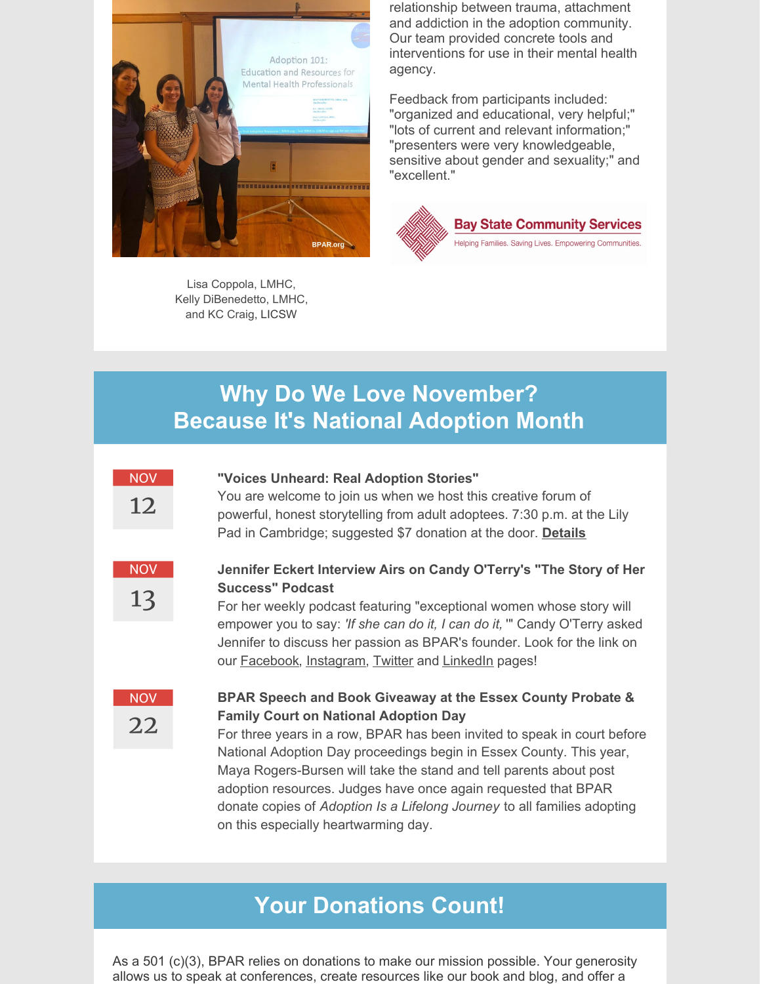

Lisa Coppola, LMHC, Kelly [DiBenedetto,](https://bpar.org/about-boston-post-adoption-resources/bpar-team/) LMHC, and KC [Craig](https://bpar.org/about-boston-post-adoption-resources/bpar-team/), LICSW

relationship between trauma, attachment and addiction in the adoption community. Our team provided concrete tools and interventions for use in their mental health agency.

Feedback from participants included: "organized and educational, very helpful;" "lots of current and relevant information;" "presenters were very knowledgeable, sensitive about gender and sexuality;" and "excellent."



# **Why Do We Love November? Because It's National Adoption Month**



### **"Voices Unheard: Real Adoption Stories"**

You are welcome to join us when we host this creative forum of powerful, honest storytelling from adult adoptees. 7:30 p.m. at the Lily Pad in Cambridge; suggested \$7 donation at the door. **[Details](https://bpar.org/voices-unheard/)**



### **Jennifer Eckert Interview Airs on Candy O'Terry's "The Story of Her Success" Podcast**

For her weekly podcast featuring "exceptional women whose story will empower you to say: *'If she can do it, I can do it,* '" Candy O'Terry asked Jennifer to discuss her passion as BPAR's founder. Look for the link on our **[Facebook](https://www.facebook.com/bostonpostadopt), [Instagram](https://www.instagram.com/bostonpostadopt/), [Twitter](https://twitter.com/bostonpostadopt) and [LinkedIn](https://www.linkedin.com/company/boston-post-adoption-resources) pages!** 



### **BPAR Speech and Book Giveaway at the Essex County Probate & Family Court on National Adoption Day**

For three years in a row, BPAR has been invited to speak in court before National Adoption Day proceedings begin in Essex County. This year, Maya Rogers-Bursen will take the stand and tell parents about post adoption resources. Judges have once again requested that BPAR donate copies of *Adoption Is a Lifelong Journey* to all families adopting on this especially heartwarming day.

# **Your Donations Count!**

As a 501 (c)(3), BPAR relies on donations to make our mission possible. Your generosity allows us to speak at conferences, create resources like our book and blog, and offer a